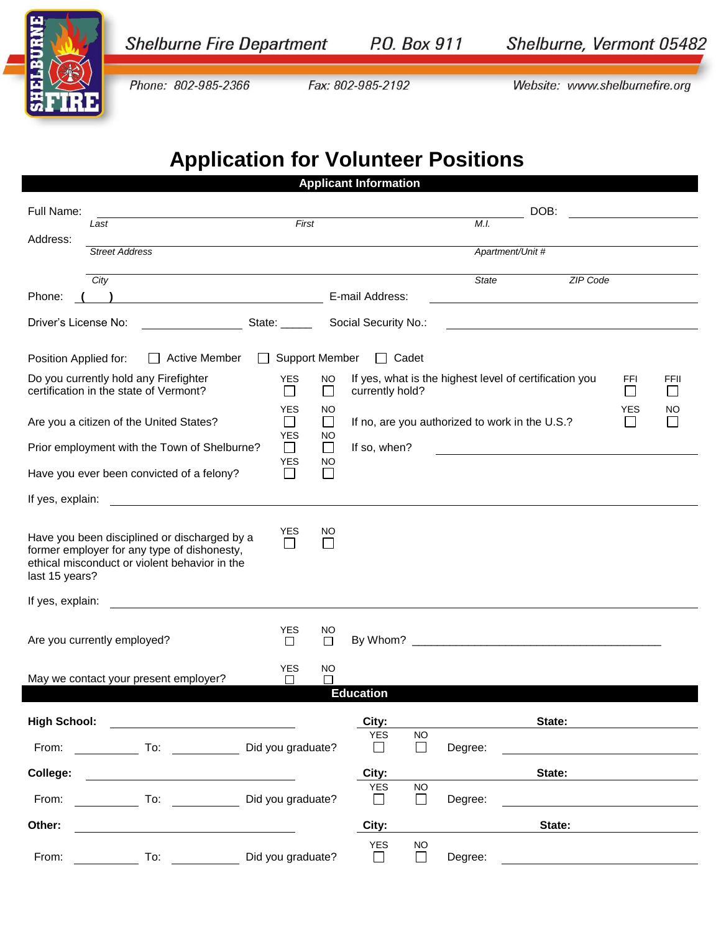

## **Application for Volunteer Positions**

| <b>Applicant Information</b>                                                                                      |                                                                                                                                                                                                                                |                                                                        |                                                |                                                        |                                  |  |  |  |  |  |  |
|-------------------------------------------------------------------------------------------------------------------|--------------------------------------------------------------------------------------------------------------------------------------------------------------------------------------------------------------------------------|------------------------------------------------------------------------|------------------------------------------------|--------------------------------------------------------|----------------------------------|--|--|--|--|--|--|
| Full Name:                                                                                                        | Last                                                                                                                                                                                                                           | First                                                                  |                                                | DOB:<br>M.I.                                           |                                  |  |  |  |  |  |  |
| Address:                                                                                                          | <b>Street Address</b>                                                                                                                                                                                                          |                                                                        |                                                | Apartment/Unit #                                       |                                  |  |  |  |  |  |  |
|                                                                                                                   | City                                                                                                                                                                                                                           |                                                                        |                                                | <b>State</b><br>ZIP Code                               |                                  |  |  |  |  |  |  |
| Phone:                                                                                                            |                                                                                                                                                                                                                                |                                                                        | E-mail Address:                                |                                                        |                                  |  |  |  |  |  |  |
| Driver's License No:<br>State:<br>Social Security No.:                                                            |                                                                                                                                                                                                                                |                                                                        |                                                |                                                        |                                  |  |  |  |  |  |  |
| <b>Support Member</b><br>$\Box$ Cadet<br>Position Applied for:<br><b>Active Member</b><br>$\perp$<br>$\mathbf{1}$ |                                                                                                                                                                                                                                |                                                                        |                                                |                                                        |                                  |  |  |  |  |  |  |
|                                                                                                                   | Do you currently hold any Firefighter<br>certification in the state of Vermont?                                                                                                                                                | <b>YES</b><br><b>NO</b><br>$\Box$<br>$\Box$                            | currently hold?                                | If yes, what is the highest level of certification you | FFI<br>FFII<br>$\Box$<br>$\perp$ |  |  |  |  |  |  |
|                                                                                                                   | Are you a citizen of the United States?                                                                                                                                                                                        | <b>YES</b><br><b>NO</b><br>$\Box$<br>$\Box$<br><b>YES</b><br><b>NO</b> | If no, are you authorized to work in the U.S.? |                                                        | <b>YES</b><br>NO<br>$\Box$       |  |  |  |  |  |  |
|                                                                                                                   | Prior employment with the Town of Shelburne?                                                                                                                                                                                   | $\Box$<br>$\Box$<br><b>YES</b><br><b>NO</b>                            | If so, when?                                   | <u> 1989 - Johann John Stein, fransk politik (</u>     |                                  |  |  |  |  |  |  |
|                                                                                                                   | Have you ever been convicted of a felony?                                                                                                                                                                                      | $\Box$<br>$\Box$                                                       |                                                |                                                        |                                  |  |  |  |  |  |  |
| If yes, explain:                                                                                                  |                                                                                                                                                                                                                                |                                                                        |                                                |                                                        |                                  |  |  |  |  |  |  |
| last 15 years?                                                                                                    | Have you been disciplined or discharged by a<br>former employer for any type of dishonesty,<br>ethical misconduct or violent behavior in the                                                                                   | <b>YES</b><br>NO<br>$\Box$                                             |                                                |                                                        |                                  |  |  |  |  |  |  |
| If yes, explain:                                                                                                  |                                                                                                                                                                                                                                |                                                                        |                                                |                                                        |                                  |  |  |  |  |  |  |
|                                                                                                                   | Are you currently employed?                                                                                                                                                                                                    | <b>YES</b><br>NO.<br>$\Box$<br>$\Box$                                  |                                                |                                                        |                                  |  |  |  |  |  |  |
|                                                                                                                   | May we contact your present employer?                                                                                                                                                                                          | <b>YES</b><br><b>NO</b><br>□<br>$\Box$                                 | <b>Education</b>                               |                                                        |                                  |  |  |  |  |  |  |
|                                                                                                                   |                                                                                                                                                                                                                                |                                                                        |                                                |                                                        |                                  |  |  |  |  |  |  |
| <b>High School:</b>                                                                                               |                                                                                                                                                                                                                                |                                                                        | City:<br><b>YES</b><br><b>NO</b>               | State:                                                 |                                  |  |  |  |  |  |  |
| From:                                                                                                             | To: the contract of the contract of the contract of the contract of the contract of the contract of the contract of the contract of the contract of the contract of the contract of the contract of the contract of the contra | Did you graduate?                                                      | $\Box$<br>$\Box$                               | Degree:                                                |                                  |  |  |  |  |  |  |
| College:                                                                                                          |                                                                                                                                                                                                                                |                                                                        | City:<br><b>YES</b><br><b>NO</b>               | State:                                                 |                                  |  |  |  |  |  |  |
| From:                                                                                                             | To:                                                                                                                                                                                                                            | Did you graduate?                                                      | $\Box$<br>$\Box$                               | Degree:                                                |                                  |  |  |  |  |  |  |
| Other:                                                                                                            |                                                                                                                                                                                                                                |                                                                        | City:<br>YES<br><b>NO</b>                      | State:                                                 |                                  |  |  |  |  |  |  |
| From:                                                                                                             | To:                                                                                                                                                                                                                            | Did you graduate?                                                      | $\Box$<br>$\perp$                              | Degree:                                                |                                  |  |  |  |  |  |  |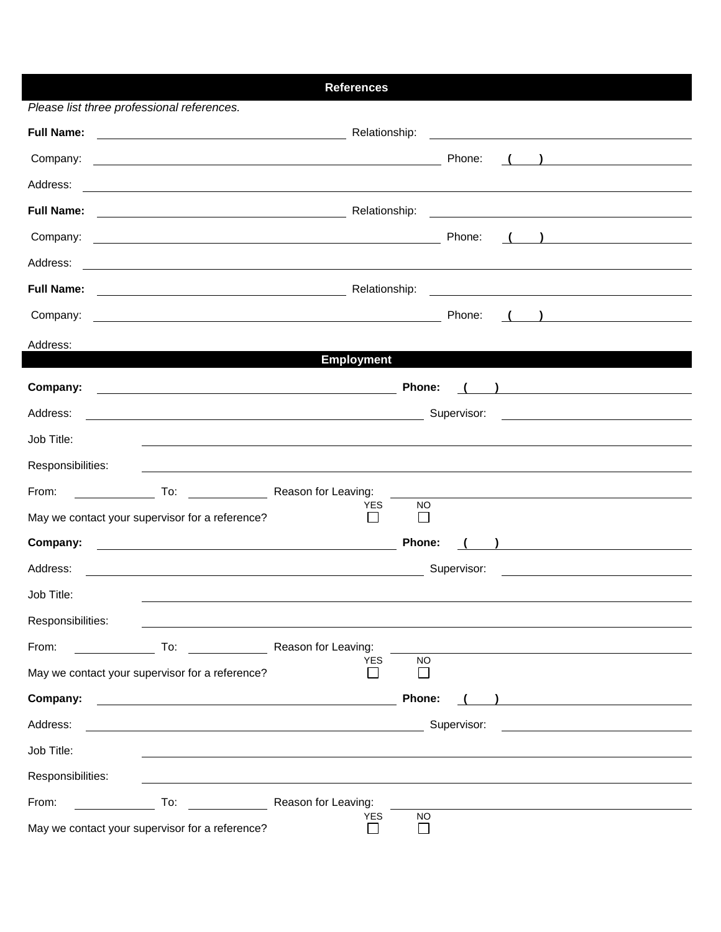|                                                                                                                                    | <b>References</b>   |                                                                                                                                                                                                                                                                                                                                                                              |  |
|------------------------------------------------------------------------------------------------------------------------------------|---------------------|------------------------------------------------------------------------------------------------------------------------------------------------------------------------------------------------------------------------------------------------------------------------------------------------------------------------------------------------------------------------------|--|
| Please list three professional references.                                                                                         |                     |                                                                                                                                                                                                                                                                                                                                                                              |  |
| <b>Full Name:</b>                                                                                                                  | Relationship:       |                                                                                                                                                                                                                                                                                                                                                                              |  |
| Company:<br><u> 1989 - Johann Barbara, martin amerikan basar dan berasal dalam basa dan berasal dalam basar dalam basa dalam</u>   |                     | Phone:<br>$\left(\begin{array}{c} \begin{array}{c} \begin{array}{c} \end{array}\\ \end{array}\right) \end{array}$                                                                                                                                                                                                                                                            |  |
| Address:                                                                                                                           |                     |                                                                                                                                                                                                                                                                                                                                                                              |  |
| <b>Full Name:</b>                                                                                                                  | Relationship:       | <u> 1989 - Johann Barnett, fransk politik (f. 1989)</u>                                                                                                                                                                                                                                                                                                                      |  |
| Company:<br><u> 1989 - Johann Stoff, deutscher Stoffen und der Stoffen und der Stoffen und der Stoffen und der Stoffen und der</u> |                     | Phone:<br>$\left(\begin{array}{c} \begin{array}{c} \end{array}\\ \end{array}\right)$                                                                                                                                                                                                                                                                                         |  |
| Address:<br><u> 1980 - Johann Stoff, Amerikaansk politiker (* 1908)</u>                                                            |                     |                                                                                                                                                                                                                                                                                                                                                                              |  |
| <b>Full Name:</b>                                                                                                                  | Relationship:       |                                                                                                                                                                                                                                                                                                                                                                              |  |
| Company:<br><u> 1980 - Johann Barn, mars ann an t-Amhain Aonaich an t-Aonaich an t-Aonaich an t-Aonaich an t-Aonaich an t-Aon</u>  |                     | Phone:<br>$\begin{pmatrix} 1 & 1 \end{pmatrix}$                                                                                                                                                                                                                                                                                                                              |  |
| Address:                                                                                                                           |                     |                                                                                                                                                                                                                                                                                                                                                                              |  |
|                                                                                                                                    | <b>Employment</b>   |                                                                                                                                                                                                                                                                                                                                                                              |  |
| Company:<br><u> 1989 - Johann Barnett, fransk politiker (d. 1989)</u>                                                              |                     | Phone:                                                                                                                                                                                                                                                                                                                                                                       |  |
| Address:<br><u> 2008 - Andrea Andrew Maria (h. 1878).</u>                                                                          |                     | Supervisor:<br><u> 1989 - Andrea Station Barbara, amerikan per</u>                                                                                                                                                                                                                                                                                                           |  |
| Job Title:                                                                                                                         |                     |                                                                                                                                                                                                                                                                                                                                                                              |  |
| Responsibilities:                                                                                                                  |                     |                                                                                                                                                                                                                                                                                                                                                                              |  |
| From:<br>To: The Reason for Leaving:                                                                                               |                     |                                                                                                                                                                                                                                                                                                                                                                              |  |
| May we contact your supervisor for a reference?                                                                                    | <b>YES</b>          | NO.<br>$\mathbf{I}$                                                                                                                                                                                                                                                                                                                                                          |  |
| Company:<br><u> 1989 - Johann Barn, fransk politik fotograf (d. 1989)</u>                                                          |                     | Phone:<br>$\begin{picture}(20,20)(-0.0,0.0) \put(0,0){\dashbox{0.5}(20,0){ }} \put(15,0){\dashbox{0.5}(20,0){ }} \put(15,0){\dashbox{0.5}(20,0){ }} \put(15,0){\dashbox{0.5}(20,0){ }} \put(15,0){\dashbox{0.5}(20,0){ }} \put(15,0){\dashbox{0.5}(20,0){ }} \put(15,0){\dashbox{0.5}(20,0){ }} \put(15,0){\dashbox{0.5}(20,0){ }} \put(15,0){\dashbox{0.5}(20,0){ }} \put($ |  |
| Address:<br><u> 1980 - Johann Barbara, martxa alemaniar amerikan a</u>                                                             |                     | Supervisor:                                                                                                                                                                                                                                                                                                                                                                  |  |
| Job Title:                                                                                                                         |                     |                                                                                                                                                                                                                                                                                                                                                                              |  |
| Responsibilities:                                                                                                                  |                     |                                                                                                                                                                                                                                                                                                                                                                              |  |
| From:<br>To:                                                                                                                       | Reason for Leaving: |                                                                                                                                                                                                                                                                                                                                                                              |  |
| May we contact your supervisor for a reference?                                                                                    | <b>YES</b>          | <b>NO</b>                                                                                                                                                                                                                                                                                                                                                                    |  |
| Company:                                                                                                                           |                     | Phone:                                                                                                                                                                                                                                                                                                                                                                       |  |
| Address:<br><u> 1980 - Johann Barn, mars ann an t-Amhain Aonaich an t-Aonaich an t-Aonaich ann an t-Aonaich ann an t-Aonaich</u>   |                     | Supervisor:                                                                                                                                                                                                                                                                                                                                                                  |  |
| Job Title:                                                                                                                         |                     |                                                                                                                                                                                                                                                                                                                                                                              |  |
| Responsibilities:                                                                                                                  |                     |                                                                                                                                                                                                                                                                                                                                                                              |  |
| From:<br>To:                                                                                                                       | Reason for Leaving: |                                                                                                                                                                                                                                                                                                                                                                              |  |
| May we contact your supervisor for a reference?                                                                                    | <b>YES</b>          | <b>NO</b>                                                                                                                                                                                                                                                                                                                                                                    |  |